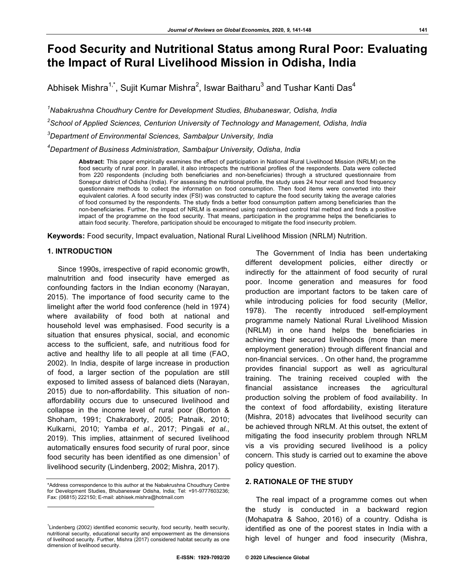# **Food Security and Nutritional Status among Rural Poor: Evaluating the Impact of Rural Livelihood Mission in Odisha, India**

Abhisek Mishra $^{\text{1, *}},$  Sujit Kumar Mishra $^{\text{2}},$  Iswar Baitharu $^{\text{3}}$  and Tushar Kanti Das $^{\text{4}}$ 

 *Nabakrushna Choudhury Centre for Development Studies, Bhubaneswar, Odisha, India School of Applied Sciences, Centurion University of Technology and Management, Odisha, India Department of Environmental Sciences, Sambalpur University, India Department of Business Administration, Sambalpur University, Odisha, India*

**Abstract:** This paper empirically examines the effect of participation in National Rural Livelihood Mission (NRLM) on the food security of rural poor. In parallel, it also introspects the nutritional profiles of the respondents. Data were collected from 220 respondents (including both beneficiaries and non-beneficiaries) through a structured questionnaire from Sonepur district of Odisha (India). For assessing the nutritional profile, the study uses 24 hour recall and food frequency questionnaire methods to collect the information on food consumption. Then food items were converted into their equivalent calories. A food security index (FSI) was constructed to capture the food security taking the average calories of food consumed by the respondents. The study finds a better food consumption pattern among beneficiaries than the non-beneficiaries. Further, the impact of NRLM is examined using randomised control trial method and finds a positive impact of the programme on the food security. That means, participation in the programme helps the beneficiaries to attain food security. Therefore, participation should be encouraged to mitigate the food insecurity problem.

**Keywords:** Food security, Impact evaluation, National Rural Livelihood Mission (NRLM) Nutrition.

# **1. INTRODUCTION**

l

Since 1990s, irrespective of rapid economic growth, malnutrition and food insecurity have emerged as confounding factors in the Indian economy (Narayan, 2015). The importance of food security came to the limelight after the world food conference (held in 1974) where availability of food both at national and household level was emphasised. Food security is a situation that ensures physical, social, and economic access to the sufficient, safe, and nutritious food for active and healthy life to all people at all time (FAO, 2002). In India, despite of large increase in production of food, a larger section of the population are still exposed to limited assess of balanced diets (Narayan, 2015) due to non-affordability. This situation of nonaffordability occurs due to unsecured livelihood and collapse in the income level of rural poor (Borton & Shoham, 1991; Chakraborty, 2005; Patnaik, 2010; Kulkarni, 2010; Yamba *et al*., 2017; Pingali *et al*., 2019). This implies, attainment of secured livelihood automatically ensures food security of rural poor, since food security has been identified as one dimension<sup>1</sup> of livelihood security (Lindenberg, 2002; Mishra, 2017).

\*Address correspondence to this author at the Nabakrushna Choudhury Centre for Development Studies, Bhubaneswar Odisha, India; Tel: +91-9777603236; Fax: (06815) 222150; E-mail: abhisek.mishra@hotmail.com

The Government of India has been undertaking different development policies, either directly or indirectly for the attainment of food security of rural poor. Income generation and measures for food production are important factors to be taken care of while introducing policies for food security (Mellor, 1978). The recently introduced self-employment programme namely National Rural Livelihood Mission (NRLM) in one hand helps the beneficiaries in achieving their secured livelihoods (more than mere employment generation) through different financial and non-financial services. . On other hand, the programme provides financial support as well as agricultural training. The training received coupled with the financial assistance increases the agricultural production solving the problem of food availability. In the context of food affordability, existing literature (Mishra, 2018) advocates that livelihood security can be achieved through NRLM. At this outset, the extent of mitigating the food insecurity problem through NRLM vis a vis providing secured livelihood is a policy concern. This study is carried out to examine the above policy question.

# **2. RATIONALE OF THE STUDY**

The real impact of a programme comes out when the study is conducted in a backward region (Mohapatra & Sahoo, 2016) of a country. Odisha is identified as one of the poorest states in India with a high level of hunger and food insecurity (Mishra,

<sup>&</sup>lt;sup>1</sup> Lindenberg (2002) identified economic security, food security, health security, nutritional security, educational security and empowerment as the dimensions of livelihood security. Further, Mishra (2017) considered habitat security as one dimension of livelihood security.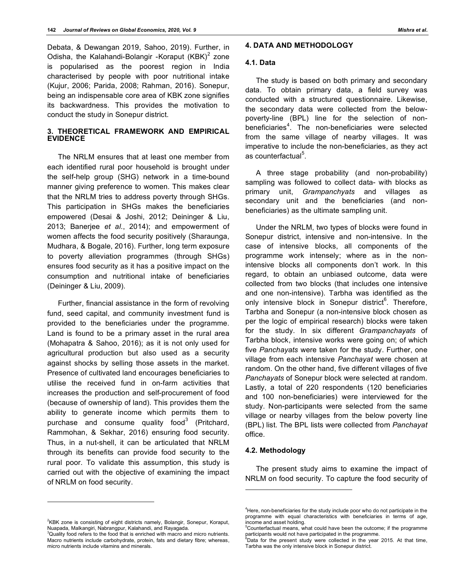Debata, & Dewangan 2019, Sahoo, 2019). Further, in Odisha, the Kalahandi-Bolangir -Koraput  $(KBK)^2$  zone is popularised as the poorest region in India characterised by people with poor nutritional intake (Kujur, 2006; Parida, 2008; Rahman, 2016). Sonepur, being an indispensable core area of KBK zone signifies its backwardness. This provides the motivation to conduct the study in Sonepur district.

# **3. THEORETICAL FRAMEWORK AND EMPIRICAL EVIDENCE**

The NRLM ensures that at least one member from each identified rural poor household is brought under the self-help group (SHG) network in a time-bound manner giving preference to women. This makes clear that the NRLM tries to address poverty through SHGs. This participation in SHGs makes the beneficiaries empowered (Desai & Joshi, 2012; Deininger & Liu, 2013; Banerjee *et al*., 2014); and empowerment of women affects the food security positively (Sharaunga, Mudhara, & Bogale, 2016). Further, long term exposure to poverty alleviation programmes (through SHGs) ensures food security as it has a positive impact on the consumption and nutritional intake of beneficiaries (Deininger & Liu, 2009).

Further, financial assistance in the form of revolving fund, seed capital, and community investment fund is provided to the beneficiaries under the programme. Land is found to be a primary asset in the rural area (Mohapatra & Sahoo, 2016); as it is not only used for agricultural production but also used as a security against shocks by selling those assets in the market. Presence of cultivated land encourages beneficiaries to utilise the received fund in on-farm activities that increases the production and self-procurement of food (because of ownership of land). This provides them the ability to generate income which permits them to purchase and consume quality food<sup>3</sup> (Pritchard, Rammohan, & Sekhar, 2016) ensuring food security. Thus, in a nut-shell, it can be articulated that NRLM through its benefits can provide food security to the rural poor. To validate this assumption, this study is carried out with the objective of examining the impact of NRLM on food security.

l

# **4. DATA AND METHODOLOGY**

#### **4.1. Data**

The study is based on both primary and secondary data. To obtain primary data, a field survey was conducted with a structured questionnaire. Likewise, the secondary data were collected from the belowpoverty-line (BPL) line for the selection of nonbeneficiaries<sup>4</sup>. The non-beneficiaries were selected from the same village of nearby villages. It was imperative to include the non-beneficiaries, as they act as counterfactual<sup>5</sup>.

A three stage probability (and non-probability) sampling was followed to collect data- with blocks as primary unit, *Grampanchyats* and villages as secondary unit and the beneficiaries (and nonbeneficiaries) as the ultimate sampling unit.

Under the NRLM, two types of blocks were found in Sonepur district, intensive and non-intensive. In the case of intensive blocks, all components of the programme work intensely; where as in the nonintensive blocks all components don't work. In this regard, to obtain an unbiased outcome, data were collected from two blocks (that includes one intensive and one non-intensive). Tarbha was identified as the only intensive block in Sonepur district<sup>6</sup>. Therefore, Tarbha and Sonepur (a non-intensive block chosen as per the logic of empirical research) blocks were taken for the study. In six different *Grampanchayats* of Tarbha block, intensive works were going on; of which five *Panchayats* were taken for the study. Further, one village from each intensive *Panchayat* were chosen at random. On the other hand, five different villages of five *Panchayats* of Sonepur block were selected at random. Lastly, a total of 220 respondents (120 beneficiaries and 100 non-beneficiaries) were interviewed for the study. Non-participants were selected from the same village or nearby villages from the below poverty line (BPL) list. The BPL lists were collected from *Panchayat* office.

## **4.2. Methodology**

l

The present study aims to examine the impact of NRLM on food security. To capture the food security of

 $3$ Quality food refers to the food that is enriched with macro and micro nutrients. Macro nutrients include carbohydrate, protein, fats and dietary fibre; whereas, micro nutrients include vitamins and minerals.

<sup>&</sup>lt;sup>4</sup>Here, non-beneficiaries for the study include poor who do not participate in the programme with equal characteristics with beneficiaries in terms of age, income and asset holding.

<sup>&</sup>lt;sup>5</sup>Counterfactual means, what could have been the outcome; if the programme participants would not have participated in the programme.

 $6$ Data for the present study were collected in the year 2015. At that time, Tarbha was the only intensive block in Sonepur district.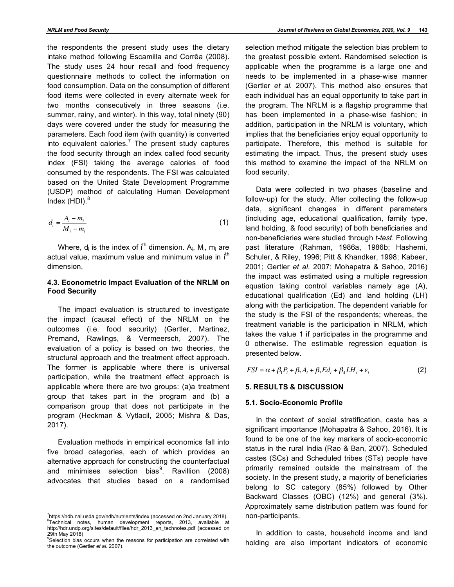the respondents the present study uses the dietary intake method following Escamilla and Corrêa (2008). The study uses 24 hour recall and food frequency questionnaire methods to collect the information on food consumption. Data on the consumption of different food items were collected in every alternate week for two months consecutively in three seasons (i.e. summer, rainy, and winter). In this way, total ninety (90) days were covered under the study for measuring the parameters. Each food item (with quantity) is converted into equivalent calories.<sup>7</sup> The present study captures the food security through an index called food security index (FSI) taking the average calories of food consumed by the respondents. The FSI was calculated based on the United State Development Programme (USDP) method of calculating Human Development Index  $(HDI).<sup>8</sup>$ 

$$
d_i = \frac{A_i - m_i}{M_i - m_i} \tag{1}
$$

Where,  $d_i$  is the index of i<sup>th</sup> dimension.  $A_i$ ,  $M_i$ ,  $m_i$  are actual value, maximum value and minimum value in  $i<sup>th</sup>$ dimension.

# **4.3***.* **Econometric Impact Evaluation of the NRLM on Food Security**

The impact evaluation is structured to investigate the impact (causal effect) of the NRLM on the outcomes (i.e. food security) (Gertler, Martinez, Premand, Rawlings, & Vermeersch, 2007). The evaluation of a policy is based on two theories, the structural approach and the treatment effect approach. The former is applicable where there is universal participation, while the treatment effect approach is applicable where there are two groups: (a)a treatment group that takes part in the program and (b) a comparison group that does not participate in the program (Heckman & Vytlacil, 2005; Mishra & Das, 2017).

Evaluation methods in empirical economics fall into five broad categories, each of which provides an alternative approach for constructing the counterfactual and minimises selection bias<sup>9</sup>. Ravillion (2008) advocates that studies based on a randomised

 $\overline{a}$ 

selection method mitigate the selection bias problem to the greatest possible extent. Randomised selection is applicable when the programme is a large one and needs to be implemented in a phase-wise manner (Gertler *et al.* 2007). This method also ensures that each individual has an equal opportunity to take part in the program. The NRLM is a flagship programme that has been implemented in a phase-wise fashion; in addition, participation in the NRLM is voluntary, which implies that the beneficiaries enjoy equal opportunity to participate. Therefore, this method is suitable for estimating the impact. Thus, the present study uses this method to examine the impact of the NRLM on food security.

Data were collected in two phases (baseline and follow-up) for the study. After collecting the follow-up data, significant changes in different parameters (including age, educational qualification, family type, land holding, & food security) of both beneficiaries and non-beneficiaries were studied through *t-test*. Following past literature (Rahman, 1986a, 1986b; Hashemi, Schuler, & Riley, 1996; Pitt & Khandker, 1998; Kabeer, 2001; Gertler *et al*. 2007; Mohapatra & Sahoo, 2016) the impact was estimated using a multiple regression equation taking control variables namely age (A), educational qualification (Ed) and land holding (LH) along with the participation. The dependent variable for the study is the FSI of the respondents; whereas, the treatment variable is the participation in NRLM, which takes the value 1 if participates in the programme and 0 otherwise. The estimable regression equation is presented below.

$$
FSI = \alpha + \beta_1 P_i + \beta_2 A_i + \beta_3 Ed_i + \beta_4 LH_i + \varepsilon_i
$$
 (2)

# **5. RESULTS & DISCUSSION**

# **5.1. Socio-Economic Profile**

In the context of social stratification, caste has a significant importance (Mohapatra & Sahoo, 2016). It is found to be one of the key markers of socio-economic status in the rural India (Rao & Ban, 2007). Scheduled castes (SCs) and Scheduled tribes (STs) people have primarily remained outside the mainstream of the society. In the present study, a majority of beneficiaries belong to SC category (85%) followed by Other Backward Classes (OBC) (12%) and general (3%). Approximately same distribution pattern was found for non-participants.

In addition to caste, household income and land holding are also important indicators of economic

<sup>&</sup>lt;sup>7</sup>https://ndb.nal.usda.gov/ndb/nutrients/index (accessed on 2nd January 2018). <sup>8</sup>Technical notes, human development reports, 2013, available at http://hdr.undp.org/sites/default/files/hdr\_2013\_en\_technotes.pdf (accessed on 29th May 2018)

<sup>&</sup>lt;sup>9</sup>Selection bias occurs when the reasons for participation are correlated with the outcome (Gertler *et al*. 2007).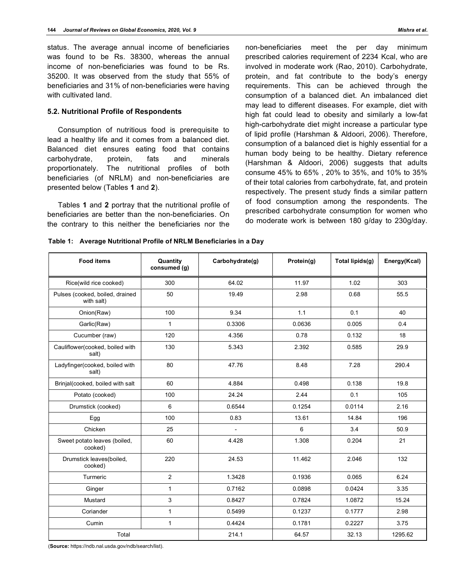status. The average annual income of beneficiaries was found to be Rs. 38300, whereas the annual income of non-beneficiaries was found to be Rs. 35200. It was observed from the study that 55% of beneficiaries and 31% of non-beneficiaries were having with cultivated land.

### **5.2. Nutritional Profile of Respondents**

Consumption of nutritious food is prerequisite to lead a healthy life and it comes from a balanced diet. Balanced diet ensures eating food that contains carbohydrate, protein, fats and minerals proportionately. The nutritional profiles of both beneficiaries (of NRLM) and non-beneficiaries are presented below (Tables **1** and **2**).

Tables **1** and **2** portray that the nutritional profile of beneficiaries are better than the non-beneficiaries. On the contrary to this neither the beneficiaries nor the non-beneficiaries meet the per day minimum prescribed calories requirement of 2234 Kcal, who are involved in moderate work (Rao, 2010). Carbohydrate, protein, and fat contribute to the body's energy requirements. This can be achieved through the consumption of a balanced diet. An imbalanced diet may lead to different diseases. For example, diet with high fat could lead to obesity and similarly a low-fat high-carbohydrate diet might increase a particular type of lipid profile (Harshman & Aldoori, 2006). Therefore, consumption of a balanced diet is highly essential for a human body being to be healthy. Dietary reference (Harshman & Aldoori, 2006) suggests that adults consume 45% to 65% , 20% to 35%, and 10% to 35% of their total calories from carbohydrate, fat, and protein respectively. The present study finds a similar pattern of food consumption among the respondents. The prescribed carbohydrate consumption for women who do moderate work is between 180 g/day to 230g/day.

**Table 1: Average Nutritional Profile of NRLM Beneficiaries in a Day**

| <b>Food items</b>                             | Quantity<br>consumed (g) | Carbohydrate(g) | Protein(g) | Total lipids(g) | Energy(Kcal) |
|-----------------------------------------------|--------------------------|-----------------|------------|-----------------|--------------|
| Rice(wild rice cooked)                        | 300                      | 64.02           | 11.97      | 1.02            | 303          |
| Pulses (cooked, boiled, drained<br>with salt) | 50                       | 19.49           | 2.98       | 0.68            | 55.5         |
| Onion(Raw)                                    | 100                      | 9.34            | 1.1        | 0.1             | 40           |
| Garlic(Raw)                                   | $\mathbf{1}$             | 0.3306          | 0.0636     | 0.005           | 0.4          |
| Cucumber (raw)                                | 120                      | 4.356           | 0.78       | 0.132           | 18           |
| Cauliflower(cooked, boiled with<br>salt)      | 130                      | 5.343           | 2.392      | 0.585           | 29.9         |
| Ladyfinger(cooked, boiled with<br>salt)       | 80                       | 47.76           | 8.48       | 7.28            | 290.4        |
| Brinjal(cooked, boiled with salt              | 60                       | 4.884           | 0.498      | 0.138           | 19.8         |
| Potato (cooked)                               | 100                      | 24.24           | 2.44       | 0.1             | 105          |
| Drumstick (cooked)                            | 6                        | 0.6544          | 0.1254     | 0.0114          | 2.16         |
| Egg                                           | 100                      | 0.83            | 13.61      | 14.84           | 196          |
| Chicken                                       | 25                       | $\overline{a}$  | 6          | 3.4             | 50.9         |
| Sweet potato leaves (boiled,<br>cooked)       | 60                       | 4.428           | 1.308      | 0.204           | 21           |
| Drumstick leaves(boiled,<br>cooked)           | 220                      | 24.53           | 11.462     | 2.046           | 132          |
| Turmeric                                      | $\overline{c}$           | 1.3428          | 0.1936     | 0.065           | 6.24         |
| Ginger                                        | 1                        | 0.7162          | 0.0898     | 0.0424          | 3.35         |
| Mustard                                       | 3                        | 0.8427          | 0.7824     | 1.0872          | 15.24        |
| Coriander                                     | 1                        | 0.5499          | 0.1237     | 0.1777          | 2.98         |
| Cumin                                         | 1                        | 0.4424          | 0.1781     | 0.2227          | 3.75         |
| Total                                         |                          | 214.1           | 64.57      | 32.13           | 1295.62      |

(**Source:** https://ndb.nal.usda.gov/ndb/search/list).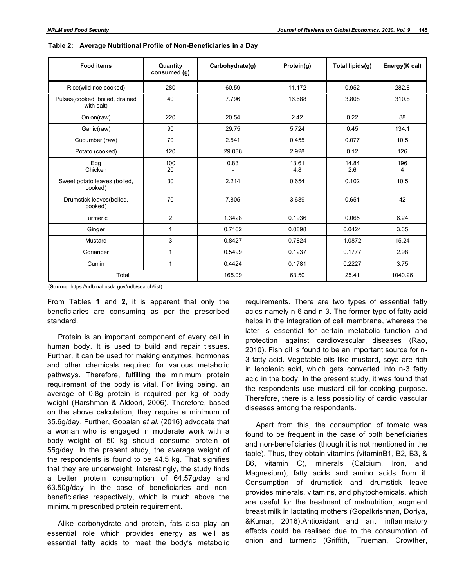| <b>Food items</b>                            | Quantity<br>consumed (g) | Carbohydrate(g) | Protein(g)   | Total lipids(g) | Energy(K cal) |
|----------------------------------------------|--------------------------|-----------------|--------------|-----------------|---------------|
| Rice(wild rice cooked)                       | 280                      | 60.59           | 11.172       | 0.952           | 282.8         |
| Pulses(cooked, boiled, drained<br>with salt) | 40                       | 7.796           | 16.688       | 3.808           | 310.8         |
| Onion(raw)                                   | 220                      | 20.54           | 2.42         | 0.22            | 88            |
| Garlic(raw)                                  | 90                       | 29.75           | 5.724        | 0.45            | 134.1         |
| Cucumber (raw)                               | 70                       | 2.541           | 0.455        | 0.077           | 10.5          |
| Potato (cooked)                              | 120                      | 29.088          | 2.928        | 0.12            | 126           |
| Egg<br>Chicken                               | 100<br>20                | 0.83            | 13.61<br>4.8 | 14.84<br>2.6    | 196<br>4      |
| Sweet potato leaves (boiled,<br>cooked)      | 30                       | 2.214           | 0.654        | 0.102           | 10.5          |
| Drumstick leaves(boiled,<br>cooked)          | 70                       | 7.805           | 3.689        | 0.651           | 42            |
| Turmeric                                     | 2                        | 1.3428          | 0.1936       | 0.065           | 6.24          |
| Ginger                                       | 1                        | 0.7162          | 0.0898       | 0.0424          | 3.35          |
| Mustard                                      | 3                        | 0.8427          | 0.7824       | 1.0872          | 15.24         |
| Coriander                                    | $\mathbf{1}$             | 0.5499          | 0.1237       | 0.1777          | 2.98          |
| Cumin                                        | 1                        | 0.4424          | 0.1781       | 0.2227          | 3.75          |
| Total                                        |                          | 165.09          | 63.50        | 25.41           | 1040.26       |

(**Source:** https://ndb.nal.usda.gov/ndb/search/list).

From Tables **1** and **2**, it is apparent that only the beneficiaries are consuming as per the prescribed standard.

Protein is an important component of every cell in human body. It is used to build and repair tissues. Further, it can be used for making enzymes, hormones and other chemicals required for various metabolic pathways. Therefore, fulfilling the minimum protein requirement of the body is vital. For living being, an average of 0.8g protein is required per kg of body weight (Harshman & Aldoori, 2006). Therefore, based on the above calculation, they require a minimum of 35.6g/day. Further, Gopalan *et al*. (2016) advocate that a woman who is engaged in moderate work with a body weight of 50 kg should consume protein of 55g/day. In the present study, the average weight of the respondents is found to be 44.5 kg. That signifies that they are underweight. Interestingly, the study finds a better protein consumption of 64.57g/day and 63.50g/day in the case of beneficiaries and nonbeneficiaries respectively, which is much above the minimum prescribed protein requirement.

Alike carbohydrate and protein, fats also play an essential role which provides energy as well as essential fatty acids to meet the body's metabolic

requirements. There are two types of essential fatty acids namely n-6 and n-3. The former type of fatty acid helps in the integration of cell membrane, whereas the later is essential for certain metabolic function and protection against cardiovascular diseases (Rao, 2010). Fish oil is found to be an important source for n-3 fatty acid. Vegetable oils like mustard, soya are rich in lenolenic acid, which gets converted into n-3 fatty acid in the body. In the present study, it was found that the respondents use mustard oil for cooking purpose. Therefore, there is a less possibility of cardio vascular diseases among the respondents.

Apart from this, the consumption of tomato was found to be frequent in the case of both beneficiaries and non-beneficiaries (though it is not mentioned in the table). Thus, they obtain vitamins (vitaminB1, B2, B3, & B6, vitamin C), minerals (Calcium, Iron, and Magnesium), fatty acids and amino acids from it. Consumption of drumstick and drumstick leave provides minerals, vitamins, and phytochemicals, which are useful for the treatment of malnutrition, augment breast milk in lactating mothers (Gopalkrishnan, Doriya, &Kumar, 2016).Antioxidant and anti inflammatory effects could be realised due to the consumption of onion and turmeric (Griffith, Trueman, Crowther,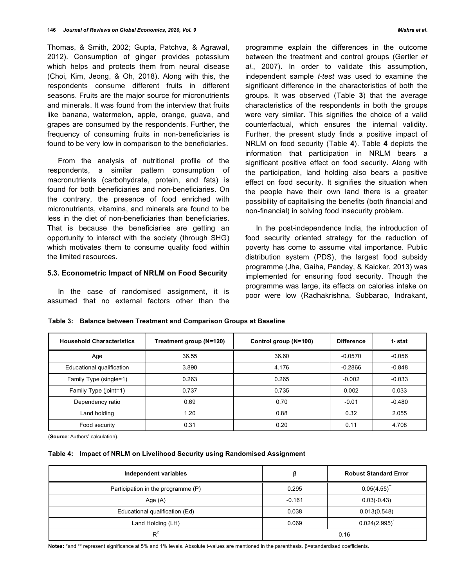Thomas, & Smith, 2002; Gupta, Patchva, & Agrawal, 2012). Consumption of ginger provides potassium which helps and protects them from neural disease (Choi, Kim, Jeong, & Oh, 2018). Along with this, the respondents consume different fruits in different seasons. Fruits are the major source for micronutrients and minerals. It was found from the interview that fruits like banana, watermelon, apple, orange, guava, and grapes are consumed by the respondents. Further, the frequency of consuming fruits in non-beneficiaries is found to be very low in comparison to the beneficiaries.

From the analysis of nutritional profile of the respondents, a similar pattern consumption of macronutrients (carbohydrate, protein, and fats) is found for both beneficiaries and non-beneficiaries. On the contrary, the presence of food enriched with micronutrients, vitamins, and minerals are found to be less in the diet of non-beneficiaries than beneficiaries. That is because the beneficiaries are getting an opportunity to interact with the society (through SHG) which motivates them to consume quality food within the limited resources.

# **5.3. Econometric Impact of NRLM on Food Security**

In the case of randomised assignment, it is assumed that no external factors other than the programme explain the differences in the outcome between the treatment and control groups (Gertler *et al*., 2007). In order to validate this assumption, independent sample *t-test* was used to examine the significant difference in the characteristics of both the groups. It was observed (Table **3**) that the average characteristics of the respondents in both the groups were very similar. This signifies the choice of a valid counterfactual, which ensures the internal validity. Further, the present study finds a positive impact of NRLM on food security (Table **4**). Table **4** depicts the information that participation in NRLM bears a significant positive effect on food security. Along with the participation, land holding also bears a positive effect on food security. It signifies the situation when the people have their own land there is a greater possibility of capitalising the benefits (both financial and non-financial) in solving food insecurity problem.

In the post-independence India, the introduction of food security oriented strategy for the reduction of poverty has come to assume vital importance. Public distribution system (PDS), the largest food subsidy programme (Jha, Gaiha, Pandey, & Kaicker, 2013) was implemented for ensuring food security. Though the programme was large, its effects on calories intake on poor were low (Radhakrishna, Subbarao, Indrakant,

|  | Table 3: Balance between Treatment and Comparison Groups at Baseline |  |
|--|----------------------------------------------------------------------|--|
|  |                                                                      |  |

| <b>Household Characteristics</b> | Treatment group (N=120) | Control group (N=100) | <b>Difference</b> | t-stat   |
|----------------------------------|-------------------------|-----------------------|-------------------|----------|
| Age                              | 36.55                   | 36.60                 | $-0.0570$         | $-0.056$ |
| Educational qualification        | 3.890                   | 4.176                 | $-0.2866$         | $-0.848$ |
| Family Type (single=1)           | 0.263                   | 0.265                 | $-0.002$          | $-0.033$ |
| Family Type (joint=1)            | 0.737                   | 0.735                 | 0.002             | 0.033    |
| Dependency ratio                 | 0.69                    | 0.70                  | $-0.01$           | $-0.480$ |
| Land holding                     | 1.20                    | 0.88                  | 0.32              | 2.055    |
| Food security                    | 0.31                    | 0.20                  | 0.11              | 4.708    |

(**Source**: Authors' calculation).

|  | Table 4: Impact of NRLM on Livelihood Security using Randomised Assignment |  |
|--|----------------------------------------------------------------------------|--|
|--|----------------------------------------------------------------------------|--|

| Independent variables              | ß        | <b>Robust Standard Error</b> |  |
|------------------------------------|----------|------------------------------|--|
| Participation in the programme (P) | 0.295    | 0.05(4.55)                   |  |
| Age (A)                            | $-0.161$ | $0.03(-0.43)$                |  |
| Educational qualification (Ed)     | 0.038    | 0.013(0.548)                 |  |
| Land Holding (LH)                  | 0.069    | 0.024(2.995)                 |  |
| $R^2$                              | 0.16     |                              |  |

**Notes:** \*and \*\* represent significance at 5% and 1% levels. Absolute t-values are mentioned in the parenthesis. β=standardised coefficients.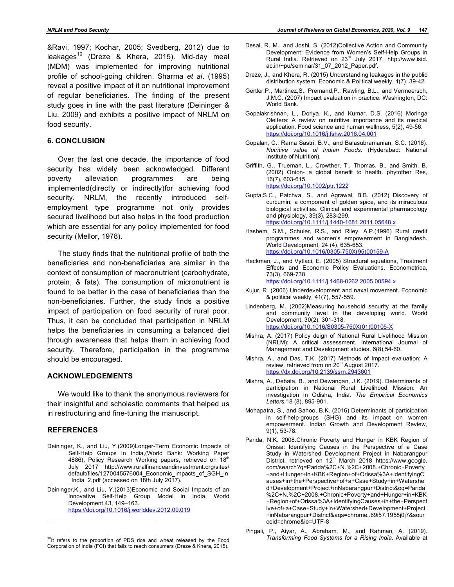&Ravi, 1997; Kochar, 2005; Svedberg, 2012) due to leakages<sup>10</sup> (Dreze & Khera, 2015). Mid-day meal (MDM) was implemented for improving nutritional profile of school-going children. Sharma *et al*. (1995) reveal a positive impact of it on nutritional improvement of regular beneficiaries. The finding of the present study goes in line with the past literature (Deininger & Liu, 2009) and exhibits a positive impact of NRLM on food security.

### **6. CONCLUSION**

Over the last one decade, the importance of food security has widely been acknowledged. Different poverty alleviation programmes are being implemented(directly or indirectly)for achieving food security. NRLM, the recently introduced selfemployment type programme not only provides secured livelihood but also helps in the food production which are essential for any policy implemented for food security (Mellor, 1978).

The study finds that the nutritional profile of both the beneficiaries and non-beneficiaries are similar in the context of consumption of macronutrient (carbohydrate, protein, & fats). The consumption of micronutrient is found to be better in the case of beneficiaries than the non-beneficiaries. Further, the study finds a positive impact of participation on food security of rural poor. Thus, it can be concluded that participation in NRLM helps the beneficiaries in consuming a balanced diet through awareness that helps them in achieving food security. Therefore, participation in the programme should be encouraged.

## **ACKNOWLEDGEMENTS**

We would like to thank the anonymous reviewers for their insightful and scholastic comments that helped us in restructuring and fine-tuning the manuscript.

### **REFERENCES**

l

- Deininger, K., and Liu, Y.(2009)Longer-Term Economic Impacts of Self-Help Groups in India,(World Bank: Working Paper 4886), Policy Research Working papers, retrieved on 18<sup>th</sup> July 2017 http://www.ruralfinanceandinvestment.org/sites/ default/files/1270045576004\_Economic\_impacts\_of\_SGH\_in \_India\_2.pdf (accessed on 18th July 2017).
- Deininger,K., and Liu, Y.(2013)Economic and Social Impacts of an Innovative Self-Help Group Model in India. World Development,43, 149–163. https://doi.org/10.1016/j.worlddev.2012.09.019
- Desai, R. M., and Joshi, S. (2012)Collective Action and Community Development: Evidence from Women's Self-Help Groups in Rural India. Retrieved on 23<sup>rd</sup> July 2017. http://www.isid. ac.in/~pu/seminar/31\_07\_2012\_Paper.pdf.
- Dreze, J., and Khera, R. (2015) Understanding leakages in the public distribution system. Economic & Political weekly, 1(7), 39-42.
- Gertler,P., Martinez,S., Premand,P., Rawling, B.L., and Vermeersch, J.M.C. (2007) Impact evaluation in practice*.* Washington, DC: World Bank.
- Gopalakrishnan, L., Doriya, K., and Kumar, D.S. (2016) Moringa Oleifera: A review on nutritive importance and its medical application. Food science and human wellness, 5(2), 49-56. https://doi.org/10.1016/j.fshw.2016.04.001
- Gopalan, C., Rama Sastri, B.V., and Balasubramanian, S.C. (2016). *Nutritive value of Indian Foods.* (Hyderabad: National Institute of Nutrition).
- Griffith, G., Trueman, L., Crowther, T., Thomas, B., and Smith, B. (2002) Onion- a global benefit to health. phytother Res, 16(7), 603-615. https://doi.org/10.1002/ptr.1222
- Gupta,S.C., Patchva, S., and Agrawal, B.B. (2012) Discovery of curcumin, a component of golden spice, and its miraculous biological activities. Clinical and experimental pharmacology and physiology, 39(3), 283-299. https://doi.org/10.1111/j.1440-1681.2011.05648.x
- Hashem, S.M., Schuler, R.S., and Riley, A.P.(1996) Rural credit programmes and women's empowerment in Bangladesh. World Development, 24 (4), 635-653. https://doi.org/10.1016/0305-750X(95)00159-A
- Heckman, J., and Vytlaci, E. (2005) Structural equations, Treatment Effects and Economic Policy Evaluations. Econometrica, 73(3), 669-738. https://doi.org/10.1111/j.1468-0262.2005.00594.x
- Kujur, R. (2006) Underdevelopment and naxal movement. Economic & political weekly, 41(7), 557-559.
- Lindenberg, M. (2002)Measuring household security at the family and community level in the developing world. World Development, 30(2), 301-318. https://doi.org/10.1016/S0305-750X(01)00105-X
- Mishra, A. (2017) Policy deign of National Rural Livelihood Mission (NRLM): A critical assessment. International Journal of Management and Development studies, 6(8),54-60.
- Mishra, A., and Das, T.K. (2017) Methods of Impact evaluation: A review, retrieved from on 20<sup>th</sup> August 2017. https://dx.doi.org/10.2139/ssrn.2943601
- Mishra, A., Debata, B., and Dewangan, J.K. (2019). Determinants of participation in National Rural Livelihood Mission: An investigation in Odisha, India. *The Empirical Economics Letters,*18 (8), 895-901.
- Mohapatra, S., and Sahoo, B.K. (2016) Determinants of participation in self-help-groups (SHG) and its impact on women empowerment. Indian Growth and Development Review, 9(1), 53-78.
- Parida, N.K. 2008.Chronic Poverty and Hunger in KBK Region of Orissa: Identifying Causes in the Perspective of a Case Study in Watershed Development Project in Nabarangpur District, retrieved on 12<sup>th</sup> March 2018 https://www.google. com/search?q=Parida%2C+N.%2C+2008.+Chronic+Poverty +and+Hunger+in+KBK+Region+of+Orissa%3A+IdentifyingC auses+in+the+Perspective+of+a+Case+Study+in+Watershe d+Development+Project+inNabarangpur+District&oq=Parida %2C+N.%2C+2008.+Chronic+Poverty+and+Hunger+in+KBK +Region+of+Orissa%3A+IdentifyingCauses+in+the+Perspect ive+of+a+Case+Study+in+Watershed+Development+Project +inNabarangpur+District&aqs=chrome..69i57.1958j0j7&sour ceid=chrome&ie=UTF-8
- Pingali, P., Aiyar, A., Abraham, M., and Rahman, A. (2019). *Transforming Food Systems for a Rising India*. Available at

<sup>&</sup>lt;sup>10</sup>It refers to the proportion of PDS rice and wheat released by the Food Corporation of India (FCI) that fails to reach consumers (Dreze & Khera, 2015).